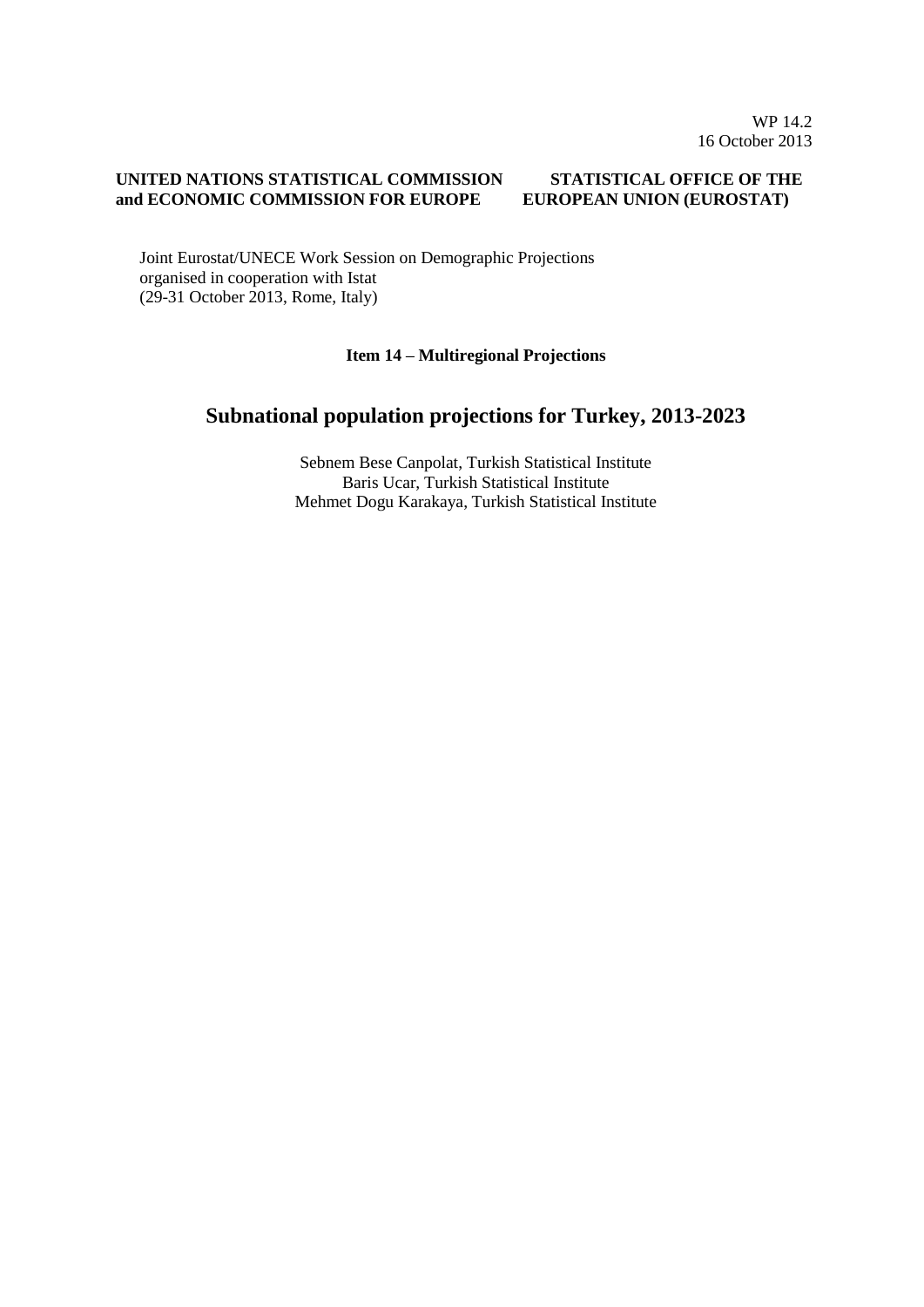#### **UNITED NATIONS STATISTICAL COMMISSION and ECONOMIC COMMISSION FOR EUROPE STATISTICAL OFFICE OF THE EUROPEAN UNION (EUROSTAT)**

Joint Eurostat/UNECE Work Session on Demographic Projections organised in cooperation with Istat (29-31 October 2013, Rome, Italy)

#### **Item 14 – Multiregional Projections**

# **Subnational population projections for Turkey, 2013-2023**

Sebnem Bese Canpolat, Turkish Statistical Institute Baris Ucar, Turkish Statistical Institute Mehmet Dogu Karakaya, Turkish Statistical Institute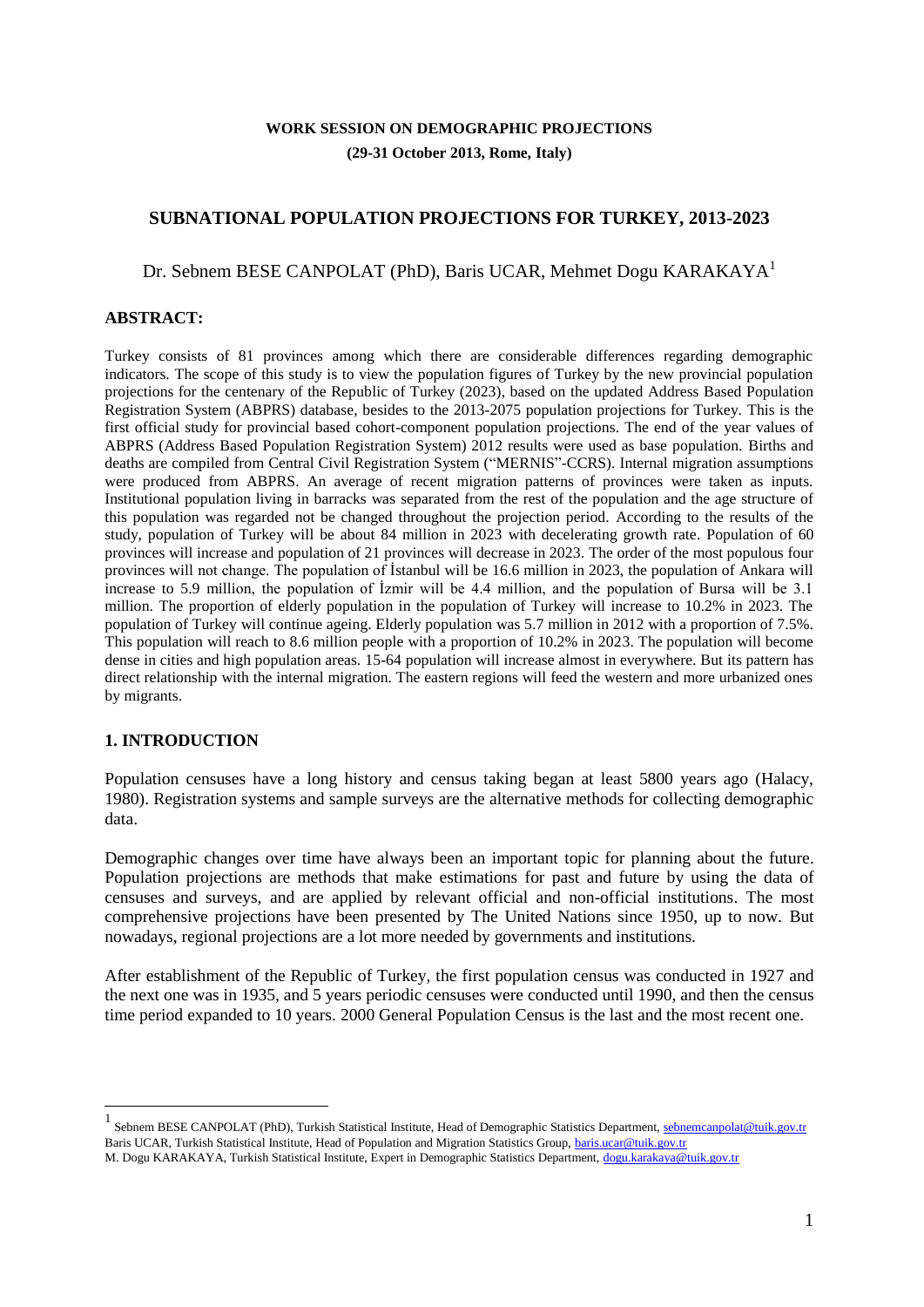## **WORK SESSION ON DEMOGRAPHIC PROJECTIONS (29-31 October 2013, Rome, Italy)**

## **SUBNATIONAL POPULATION PROJECTIONS FOR TURKEY, 2013-2023**

#### Dr. Sebnem BESE CANPOLAT (PhD), Baris UCAR, Mehmet Dogu KARAKAYA<sup>1</sup>

#### **ABSTRACT:**

Turkey consists of 81 provinces among which there are considerable differences regarding demographic indicators. The scope of this study is to view the population figures of Turkey by the new provincial population projections for the centenary of the Republic of Turkey (2023), based on the updated Address Based Population Registration System (ABPRS) database, besides to the 2013-2075 population projections for Turkey. This is the first official study for provincial based cohort-component population projections. The end of the year values of ABPRS (Address Based Population Registration System) 2012 results were used as base population. Births and deaths are compiled from Central Civil Registration System ("MERNIS"-CCRS). Internal migration assumptions were produced from ABPRS. An average of recent migration patterns of provinces were taken as inputs. Institutional population living in barracks was separated from the rest of the population and the age structure of this population was regarded not be changed throughout the projection period. According to the results of the study, population of Turkey will be about 84 million in 2023 with decelerating growth rate. Population of 60 provinces will increase and population of 21 provinces will decrease in 2023. The order of the most populous four provinces will not change. The population of İstanbul will be 16.6 million in 2023, the population of Ankara will increase to 5.9 million, the population of İzmir will be 4.4 million, and the population of Bursa will be 3.1 million. The proportion of elderly population in the population of Turkey will increase to 10.2% in 2023. The population of Turkey will continue ageing. Elderly population was 5.7 million in 2012 with a proportion of 7.5%. This population will reach to 8.6 million people with a proportion of 10.2% in 2023. The population will become dense in cities and high population areas. 15-64 population will increase almost in everywhere. But its pattern has direct relationship with the internal migration. The eastern regions will feed the western and more urbanized ones by migrants.

#### **1. INTRODUCTION**

Population censuses have a long history and census taking began at least 5800 years ago (Halacy, 1980). Registration systems and sample surveys are the alternative methods for collecting demographic data.

Demographic changes over time have always been an important topic for planning about the future. Population projections are methods that make estimations for past and future by using the data of censuses and surveys, and are applied by relevant official and non-official institutions. The most comprehensive projections have been presented by The United Nations since 1950, up to now. But nowadays, regional projections are a lot more needed by governments and institutions.

After establishment of the Republic of Turkey, the first population census was conducted in 1927 and the next one was in 1935, and 5 years periodic censuses were conducted until 1990, and then the census time period expanded to 10 years. 2000 General Population Census is the last and the most recent one.

<sup>1&</sup>lt;br><sup>1</sup> Sebnem BESE CANPOLAT (PhD), Turkish Statistical Institute, Head of Demographic Statistics Department[, sebnemcanpolat@tuik.gov.tr](mailto:sebnemcanpolat@tuik.gov.tr) Baris UCAR, Turkish Statistical Institute, Head of Population and Migration Statistics Group[, baris.ucar@tuik.gov.tr](mailto:baris.ucar@tuik.gov.tr)

M. Dogu KARAKAYA, Turkish Statistical Institute, Expert in Demographic Statistics Department[, dogu.karakaya@tuik.gov.tr](mailto:dogu.karakaya@tuik.gov.tr)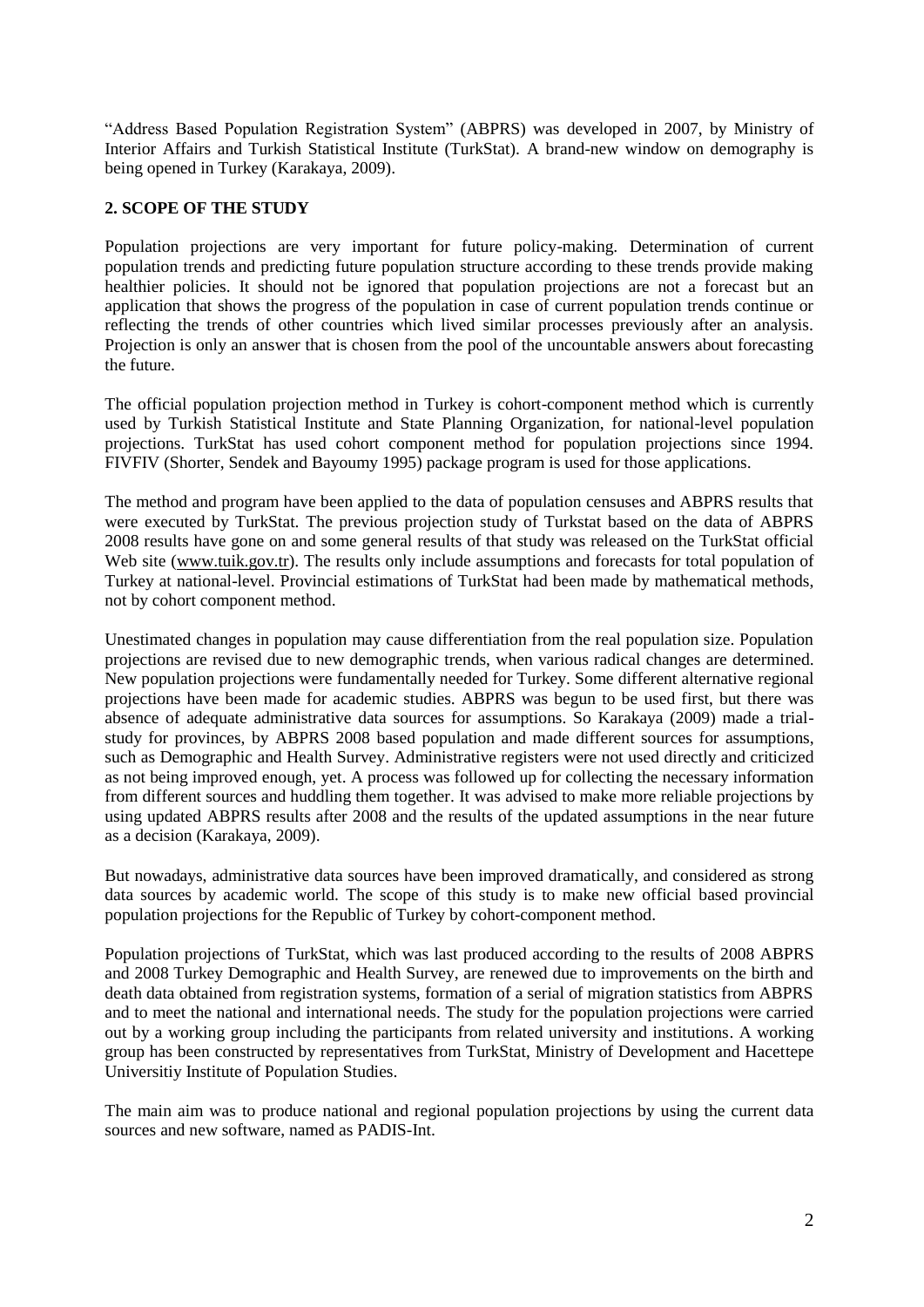"Address Based Population Registration System" (ABPRS) was developed in 2007, by Ministry of Interior Affairs and Turkish Statistical Institute (TurkStat). A brand-new window on demography is being opened in Turkey (Karakaya, 2009).

## **2. SCOPE OF THE STUDY**

Population projections are very important for future policy-making. Determination of current population trends and predicting future population structure according to these trends provide making healthier policies. It should not be ignored that population projections are not a forecast but an application that shows the progress of the population in case of current population trends continue or reflecting the trends of other countries which lived similar processes previously after an analysis. Projection is only an answer that is chosen from the pool of the uncountable answers about forecasting the future.

The official population projection method in Turkey is cohort-component method which is currently used by Turkish Statistical Institute and State Planning Organization, for national-level population projections. TurkStat has used cohort component method for population projections since 1994. FIVFIV (Shorter, Sendek and Bayoumy 1995) package program is used for those applications.

The method and program have been applied to the data of population censuses and ABPRS results that were executed by TurkStat. The previous projection study of Turkstat based on the data of ABPRS 2008 results have gone on and some general results of that study was released on the TurkStat official Web site [\(www.tuik.gov.tr\)](http://www.tuik.gov.tr/). The results only include assumptions and forecasts for total population of Turkey at national-level. Provincial estimations of TurkStat had been made by mathematical methods, not by cohort component method.

Unestimated changes in population may cause differentiation from the real population size. Population projections are revised due to new demographic trends, when various radical changes are determined. New population projections were fundamentally needed for Turkey. Some different alternative regional projections have been made for academic studies. ABPRS was begun to be used first, but there was absence of adequate administrative data sources for assumptions. So Karakaya (2009) made a trialstudy for provinces, by ABPRS 2008 based population and made different sources for assumptions, such as Demographic and Health Survey. Administrative registers were not used directly and criticized as not being improved enough, yet. A process was followed up for collecting the necessary information from different sources and huddling them together. It was advised to make more reliable projections by using updated ABPRS results after 2008 and the results of the updated assumptions in the near future as a decision (Karakaya, 2009).

But nowadays, administrative data sources have been improved dramatically, and considered as strong data sources by academic world. The scope of this study is to make new official based provincial population projections for the Republic of Turkey by cohort-component method.

Population projections of TurkStat, which was last produced according to the results of 2008 ABPRS and 2008 Turkey Demographic and Health Survey, are renewed due to improvements on the birth and death data obtained from registration systems, formation of a serial of migration statistics from ABPRS and to meet the national and international needs. The study for the population projections were carried out by a working group including the participants from related university and institutions. A working group has been constructed by representatives from TurkStat, Ministry of Development and Hacettepe Universitiy Institute of Population Studies.

The main aim was to produce national and regional population projections by using the current data sources and new software, named as PADIS-Int.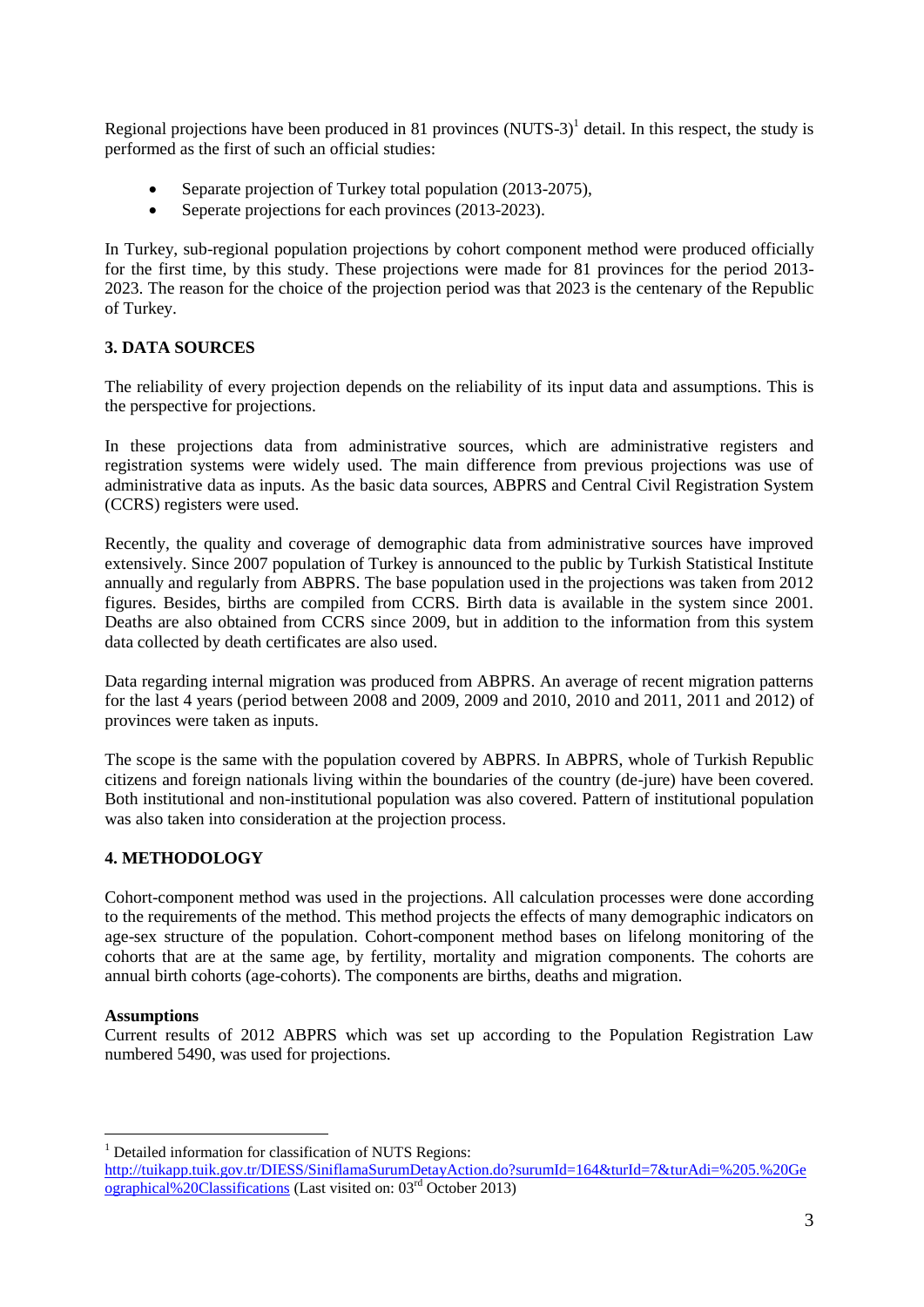Regional projections have been produced in 81 provinces  $(NUTS-3)^1$  detail. In this respect, the study is performed as the first of such an official studies:

- Separate projection of Turkey total population (2013-2075),
- Seperate projections for each provinces (2013-2023).

In Turkey, sub-regional population projections by cohort component method were produced officially for the first time, by this study. These projections were made for 81 provinces for the period 2013- 2023. The reason for the choice of the projection period was that 2023 is the centenary of the Republic of Turkey.

## **3. DATA SOURCES**

The reliability of every projection depends on the reliability of its input data and assumptions. This is the perspective for projections.

In these projections data from administrative sources, which are administrative registers and registration systems were widely used. The main difference from previous projections was use of administrative data as inputs. As the basic data sources, ABPRS and Central Civil Registration System (CCRS) registers were used.

Recently, the quality and coverage of demographic data from administrative sources have improved extensively. Since 2007 population of Turkey is announced to the public by Turkish Statistical Institute annually and regularly from ABPRS. The base population used in the projections was taken from 2012 figures. Besides, births are compiled from CCRS. Birth data is available in the system since 2001. Deaths are also obtained from CCRS since 2009, but in addition to the information from this system data collected by death certificates are also used.

Data regarding internal migration was produced from ABPRS. An average of recent migration patterns for the last 4 years (period between 2008 and 2009, 2009 and 2010, 2010 and 2011, 2011 and 2012) of provinces were taken as inputs.

The scope is the same with the population covered by ABPRS. In ABPRS, whole of Turkish Republic citizens and foreign nationals living within the boundaries of the country (de-jure) have been covered. Both institutional and non-institutional population was also covered. Pattern of institutional population was also taken into consideration at the projection process.

## **4. METHODOLOGY**

Cohort-component method was used in the projections. All calculation processes were done according to the requirements of the method. This method projects the effects of many demographic indicators on age-sex structure of the population. Cohort-component method bases on lifelong monitoring of the cohorts that are at the same age, by fertility, mortality and migration components. The cohorts are annual birth cohorts (age-cohorts). The components are births, deaths and migration.

## **Assumptions**

 $\overline{a}$ 

Current results of 2012 ABPRS which was set up according to the Population Registration Law numbered 5490, was used for projections.

<sup>&</sup>lt;sup>1</sup> Detailed information for classification of NUTS Regions:

[http://tuikapp.tuik.gov.tr/DIESS/SiniflamaSurumDetayAction.do?surumId=164&turId=7&turAdi=%205.%20Ge](http://tuikapp.tuik.gov.tr/DIESS/SiniflamaSurumDetayAction.do?surumId=164&turId=7&turAdi=%205.%20Geographical%20Classifications) [ographical%20Classifications](http://tuikapp.tuik.gov.tr/DIESS/SiniflamaSurumDetayAction.do?surumId=164&turId=7&turAdi=%205.%20Geographical%20Classifications) (Last visited on: 03rd October 2013)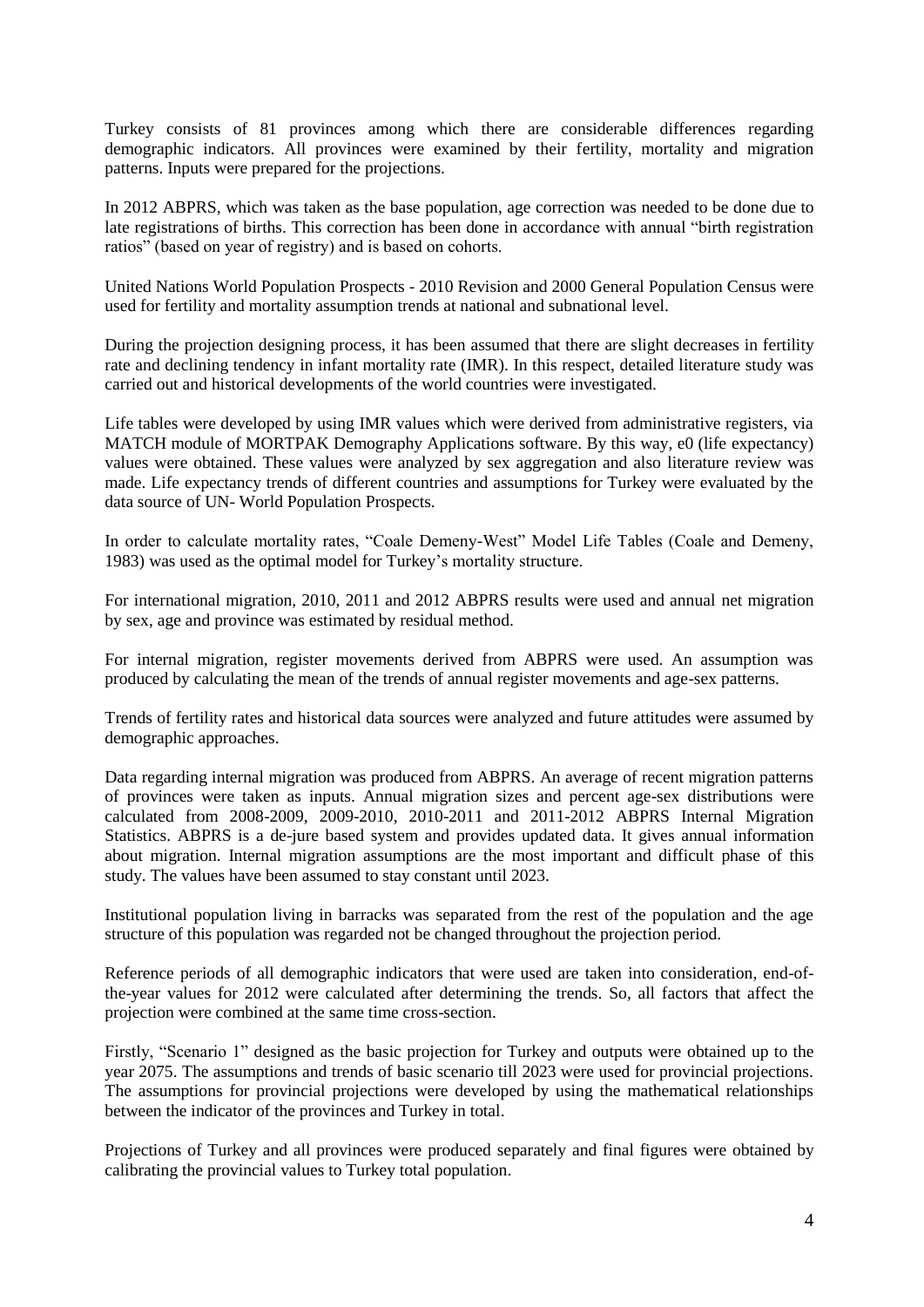Turkey consists of 81 provinces among which there are considerable differences regarding demographic indicators. All provinces were examined by their fertility, mortality and migration patterns. Inputs were prepared for the projections.

In 2012 ABPRS, which was taken as the base population, age correction was needed to be done due to late registrations of births. This correction has been done in accordance with annual "birth registration ratios" (based on year of registry) and is based on cohorts.

United Nations World Population Prospects - 2010 Revision and 2000 General Population Census were used for fertility and mortality assumption trends at national and subnational level.

During the projection designing process, it has been assumed that there are slight decreases in fertility rate and declining tendency in infant mortality rate (IMR). In this respect, detailed literature study was carried out and historical developments of the world countries were investigated.

Life tables were developed by using IMR values which were derived from administrative registers, via MATCH module of MORTPAK Demography Applications software. By this way, e0 (life expectancy) values were obtained. These values were analyzed by sex aggregation and also literature review was made. Life expectancy trends of different countries and assumptions for Turkey were evaluated by the data source of UN- World Population Prospects.

In order to calculate mortality rates, "Coale Demeny-West" Model Life Tables (Coale and Demeny, 1983) was used as the optimal model for Turkey's mortality structure.

For international migration, 2010, 2011 and 2012 ABPRS results were used and annual net migration by sex, age and province was estimated by residual method.

For internal migration, register movements derived from ABPRS were used. An assumption was produced by calculating the mean of the trends of annual register movements and age-sex patterns.

Trends of fertility rates and historical data sources were analyzed and future attitudes were assumed by demographic approaches.

Data regarding internal migration was produced from ABPRS. An average of recent migration patterns of provinces were taken as inputs. Annual migration sizes and percent age-sex distributions were calculated from 2008-2009, 2009-2010, 2010-2011 and 2011-2012 ABPRS Internal Migration Statistics. ABPRS is a de-jure based system and provides updated data. It gives annual information about migration. Internal migration assumptions are the most important and difficult phase of this study. The values have been assumed to stay constant until 2023.

Institutional population living in barracks was separated from the rest of the population and the age structure of this population was regarded not be changed throughout the projection period.

Reference periods of all demographic indicators that were used are taken into consideration, end-ofthe-year values for 2012 were calculated after determining the trends. So, all factors that affect the projection were combined at the same time cross-section.

Firstly, "Scenario 1" designed as the basic projection for Turkey and outputs were obtained up to the year 2075. The assumptions and trends of basic scenario till 2023 were used for provincial projections. The assumptions for provincial projections were developed by using the mathematical relationships between the indicator of the provinces and Turkey in total.

Projections of Turkey and all provinces were produced separately and final figures were obtained by calibrating the provincial values to Turkey total population.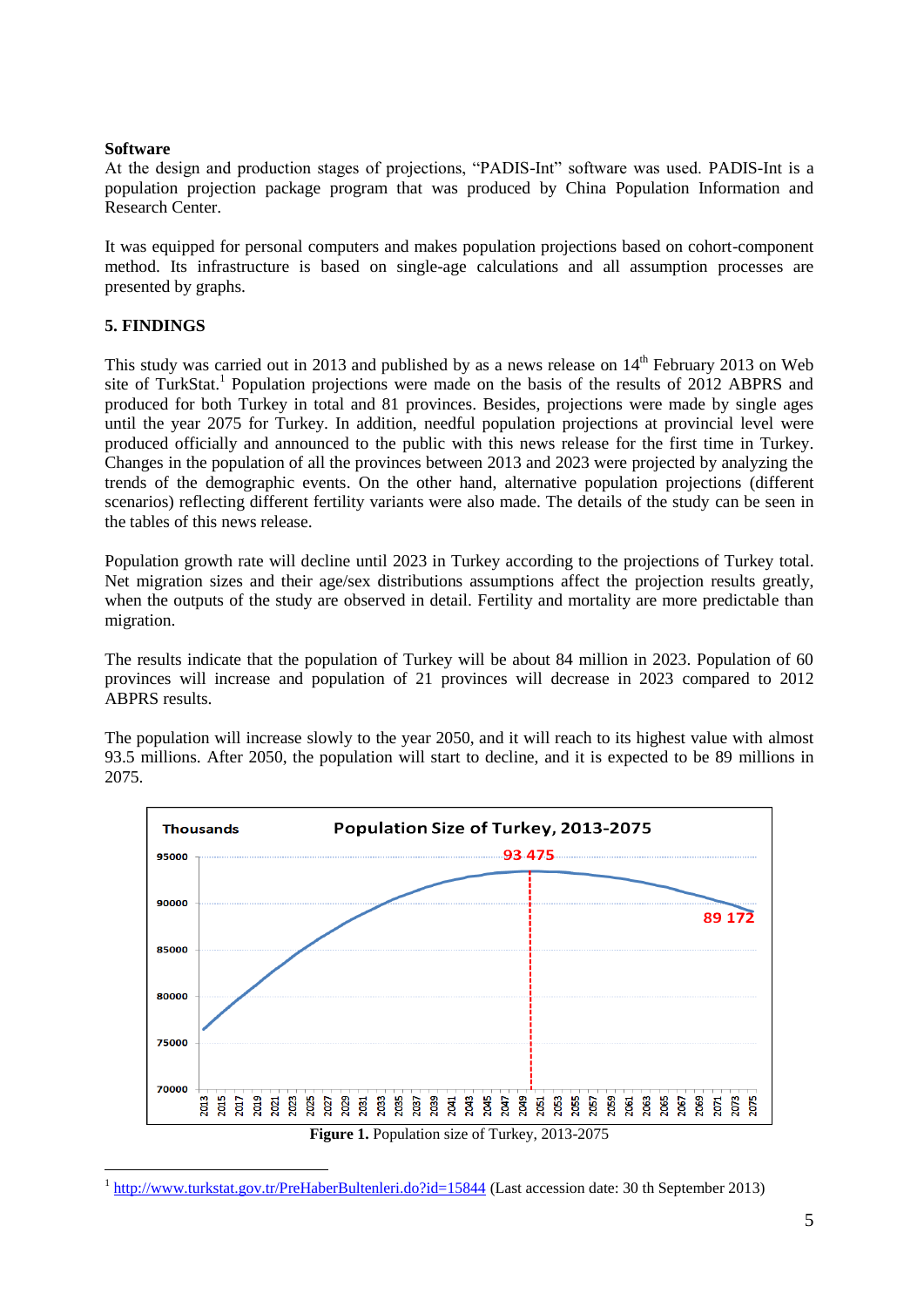#### **Software**

At the design and production stages of projections, "PADIS-Int" software was used. PADIS-Int is a population projection package program that was produced by China Population Information and Research Center.

It was equipped for personal computers and makes population projections based on cohort-component method. Its infrastructure is based on single-age calculations and all assumption processes are presented by graphs.

## **5. FINDINGS**

This study was carried out in 2013 and published by as a news release on  $14<sup>th</sup>$  February 2013 on Web site of TurkStat.<sup>1</sup> Population projections were made on the basis of the results of 2012 ABPRS and produced for both Turkey in total and 81 provinces. Besides, projections were made by single ages until the year 2075 for Turkey. In addition, needful population projections at provincial level were produced officially and announced to the public with this news release for the first time in Turkey. Changes in the population of all the provinces between 2013 and 2023 were projected by analyzing the trends of the demographic events. On the other hand, alternative population projections (different scenarios) reflecting different fertility variants were also made. The details of the study can be seen in the tables of this news release.

Population growth rate will decline until 2023 in Turkey according to the projections of Turkey total. Net migration sizes and their age/sex distributions assumptions affect the projection results greatly, when the outputs of the study are observed in detail. Fertility and mortality are more predictable than migration.

The results indicate that the population of Turkey will be about 84 million in 2023. Population of 60 provinces will increase and population of 21 provinces will decrease in 2023 compared to 2012 ABPRS results.

The population will increase slowly to the year 2050, and it will reach to its highest value with almost 93.5 millions. After 2050, the population will start to decline, and it is expected to be 89 millions in 2075.



 $\overline{a}$ <sup>1</sup> <http://www.turkstat.gov.tr/PreHaberBultenleri.do?id=15844> (Last accession date: 30 th September 2013)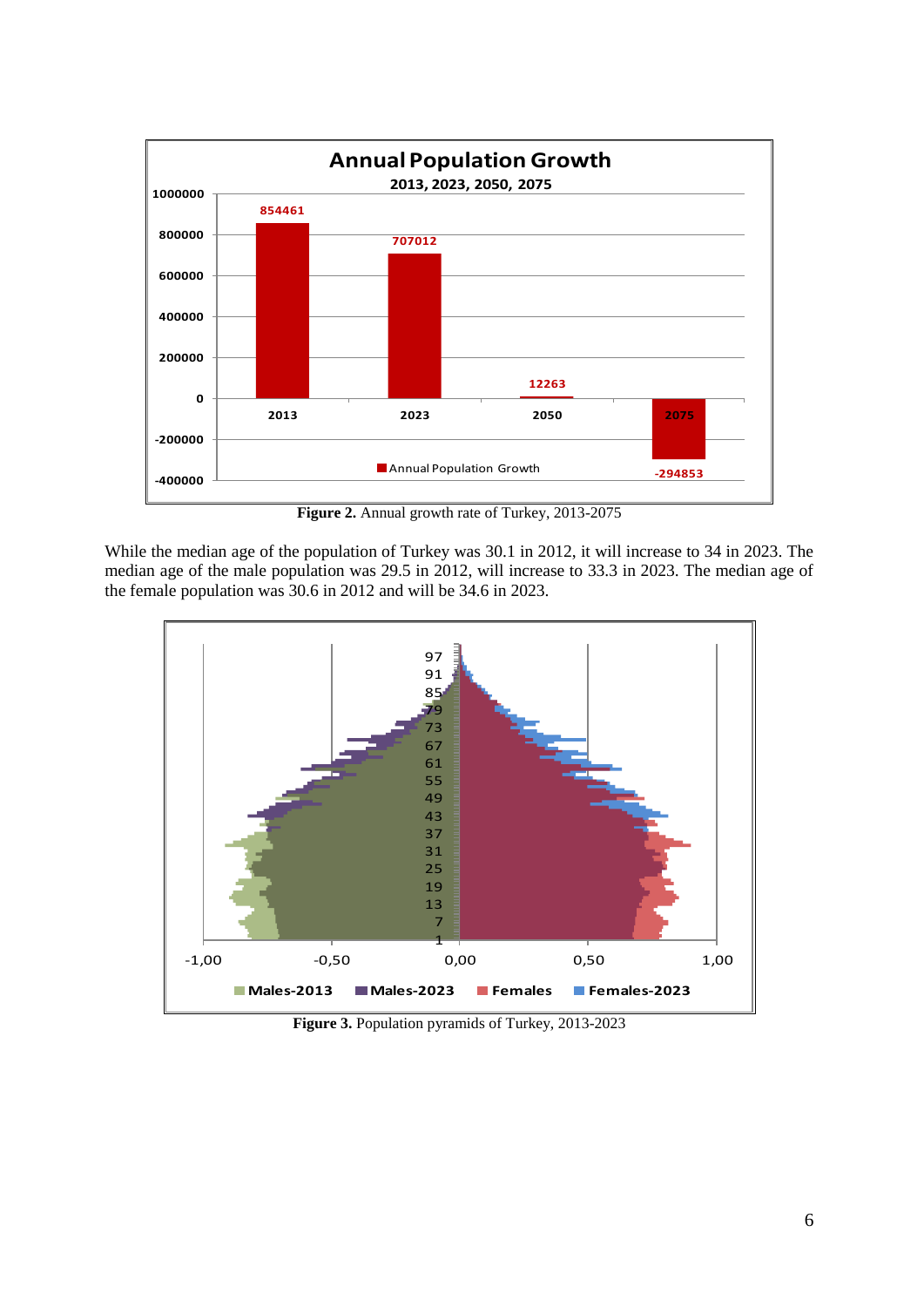

**Figure 2.** Annual growth rate of Turkey, 2013-2075

While the median age of the population of Turkey was 30.1 in 2012, it will increase to 34 in 2023. The median age of the male population was 29.5 in 2012, will increase to 33.3 in 2023. The median age of the female population was 30.6 in 2012 and will be 34.6 in 2023.



**Figure 3.** Population pyramids of Turkey, 2013-2023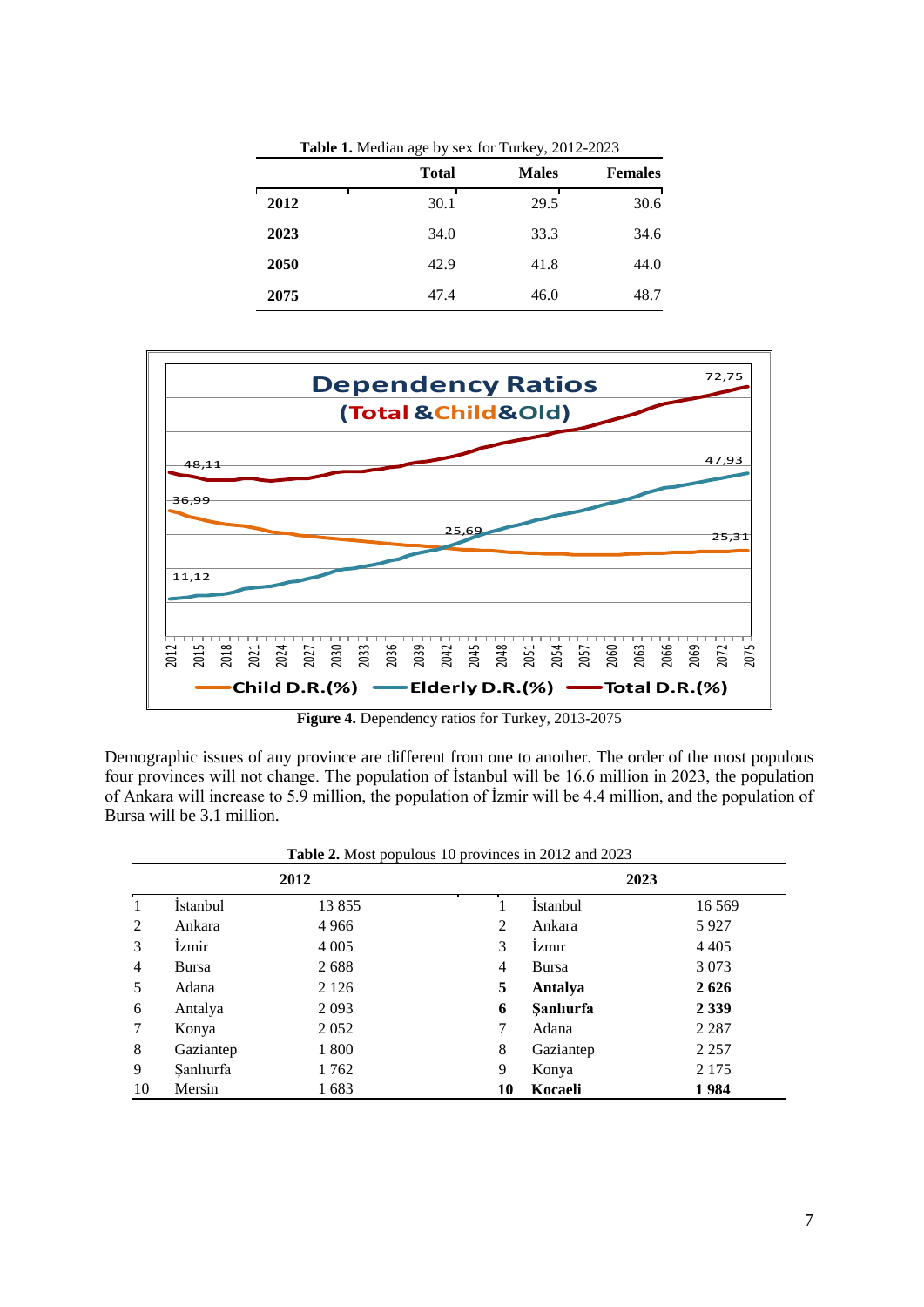| Table 1. Median age by sex for Turkey, 2012-2023 |              |              |                |  |  |
|--------------------------------------------------|--------------|--------------|----------------|--|--|
|                                                  | <b>Total</b> | <b>Males</b> | <b>Females</b> |  |  |
| 2012                                             | 30.1         | 29.5         | 30.6           |  |  |
| 2023                                             | 34.0         | 33.3         | 34.6           |  |  |
| 2050                                             | 42.9         | 41.8         | 44.0           |  |  |
| 2075                                             | 47.4         | 46.0         | 48.7           |  |  |



**Figure 4.** Dependency ratios for Turkey, 2013-2075

Demographic issues of any province are different from one to another. The order of the most populous four provinces will not change. The population of İstanbul will be 16.6 million in 2023, the population of Ankara will increase to 5.9 million, the population of İzmir will be 4.4 million, and the population of Bursa will be 3.1 million.

|                |              | 2012    |    | 2023            |         |  |
|----------------|--------------|---------|----|-----------------|---------|--|
| $\mathbf{1}$   | İstanbul     | 13 855  |    | <i>Istanbul</i> | 16 5 69 |  |
| 2              | Ankara       | 4 9 6 6 | 2  | Ankara          | 5927    |  |
| 3              | <i>Izmir</i> | 4 0 0 5 | 3  | Izmir           | 4 4 0 5 |  |
| $\overline{4}$ | Bursa        | 2688    | 4  | Bursa           | 3 0 7 3 |  |
| 5              | Adana        | 2 1 2 6 | 5  | Antalya         | 2626    |  |
| 6              | Antalya      | 2093    | 6  | Sanlıurfa       | 2 3 3 9 |  |
| 7              | Konya        | 2052    | 7  | Adana           | 2 2 8 7 |  |
| 8              | Gaziantep    | 1 800   | 8  | Gaziantep       | 2 2 5 7 |  |
| 9              | Sanlıurfa    | 1762    | 9  | Konya           | 2 1 7 5 |  |
| 10             | Mersin       | 1683    | 10 | Kocaeli         | 1984    |  |

**Table 2.** Most populous 10 provinces in 2012 and 2023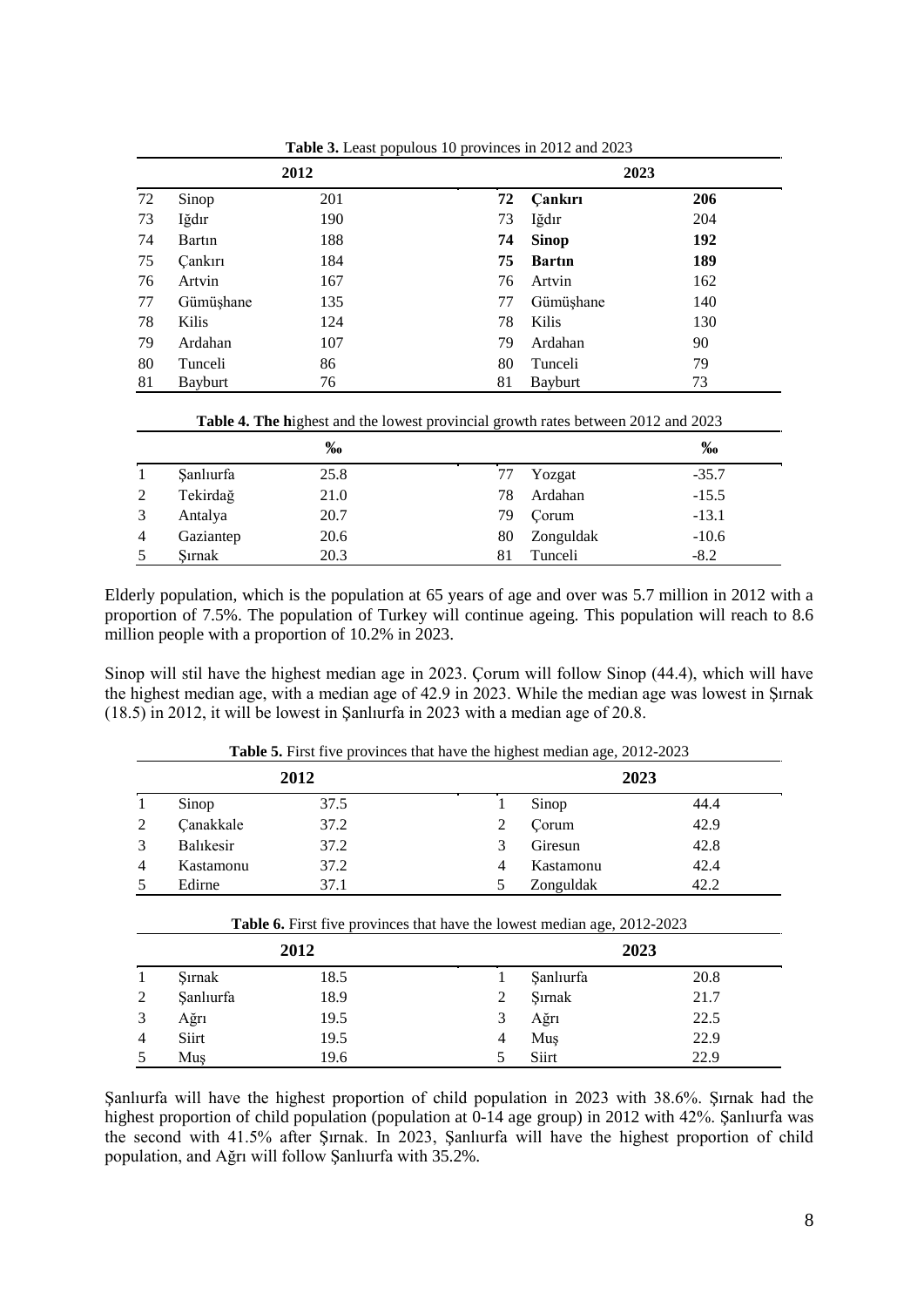| 2012 |                |     | 2023 |                |     |
|------|----------------|-----|------|----------------|-----|
| 72   | Sinop          | 201 | 72   | <b>Cankiri</b> | 206 |
| 73   | Iğdır          | 190 | 73   | Iğdır          | 204 |
| 74   | Bartin         | 188 | 74   | <b>Sinop</b>   | 192 |
| 75   | <b>Çankırı</b> | 184 | 75   | <b>Bartin</b>  | 189 |
| 76   | Artvin         | 167 | 76   | Artvin         | 162 |
| 77   | Gümüşhane      | 135 | 77   | Gümüşhane      | 140 |
| 78   | Kilis          | 124 | 78   | Kilis          | 130 |
| 79   | Ardahan        | 107 | 79   | Ardahan        | 90  |
| 80   | Tunceli        | 86  | 80   | Tunceli        | 79  |
| 81   | <b>Bayburt</b> | 76  | 81   | Bayburt        | 73  |

**Table 3.** Least populous 10 provinces in 2012 and 2023

| Table 4. The highest and the lowest provincial growth rates between 2012 and 2023 |  |  |  |
|-----------------------------------------------------------------------------------|--|--|--|
|-----------------------------------------------------------------------------------|--|--|--|

|   |           | %    |    |           | %       |
|---|-----------|------|----|-----------|---------|
|   | Sanlıurfa | 25.8 | 77 | Yozgat    | $-35.7$ |
| 2 | Tekirdağ  | 21.0 | 78 | Ardahan   | $-15.5$ |
|   | Antalya   | 20.7 | 79 | Corum     | $-13.1$ |
| 4 | Gaziantep | 20.6 | 80 | Zonguldak | $-10.6$ |
|   | Sırnak    | 20.3 | 81 | Tunceli   | $-8.2$  |

Elderly population, which is the population at 65 years of age and over was 5.7 million in 2012 with a proportion of 7.5%. The population of Turkey will continue ageing. This population will reach to 8.6 million people with a proportion of 10.2% in 2023.

Sinop will stil have the highest median age in 2023. Çorum will follow Sinop (44.4), which will have the highest median age, with a median age of 42.9 in 2023. While the median age was lowest in Şırnak (18.5) in 2012, it will be lowest in Şanlıurfa in 2023 with a median age of 20.8.

|        | 2012      |                                                                                         |   | 2023      |      |  |
|--------|-----------|-----------------------------------------------------------------------------------------|---|-----------|------|--|
| 1      | Sinop     | 37.5                                                                                    |   | Sinop     | 44.4 |  |
| 2      | Çanakkale | 37.2                                                                                    | 2 | Corum     | 42.9 |  |
| 3      | Balıkesir | 37.2                                                                                    | 3 | Giresun   | 42.8 |  |
| 4      | Kastamonu | 37.2                                                                                    | 4 | Kastamonu | 42.4 |  |
| 5      | Edirne    | 37.1                                                                                    | 5 | Zonguldak | 42.2 |  |
|        |           |                                                                                         |   |           |      |  |
|        |           | <b>Table 6.</b> First five provinces that have the lowest median age, 2012-2023<br>2012 |   | 2023      |      |  |
| 1      | Sırnak    | 18.5                                                                                    | 1 | Sanlıurfa | 20.8 |  |
|        | Sanlıurfa | 18.9                                                                                    | 2 | Sırnak    | 21.7 |  |
| 2<br>3 | Ağrı      | 19.5                                                                                    | 3 | Ağrı      | 22.5 |  |

**Table 5.** First five provinces that have the highest median age, 2012-2023

Şanlıurfa will have the highest proportion of child population in 2023 with 38.6%. Şırnak had the highest proportion of child population (population at 0-14 age group) in 2012 with 42%. Şanlıurfa was the second with 41.5% after Şırnak. In 2023, Şanlıurfa will have the highest proportion of child population, and Ağrı will follow Şanlıurfa with 35.2%.

5 Muş 19.6 5 Siirt 22.9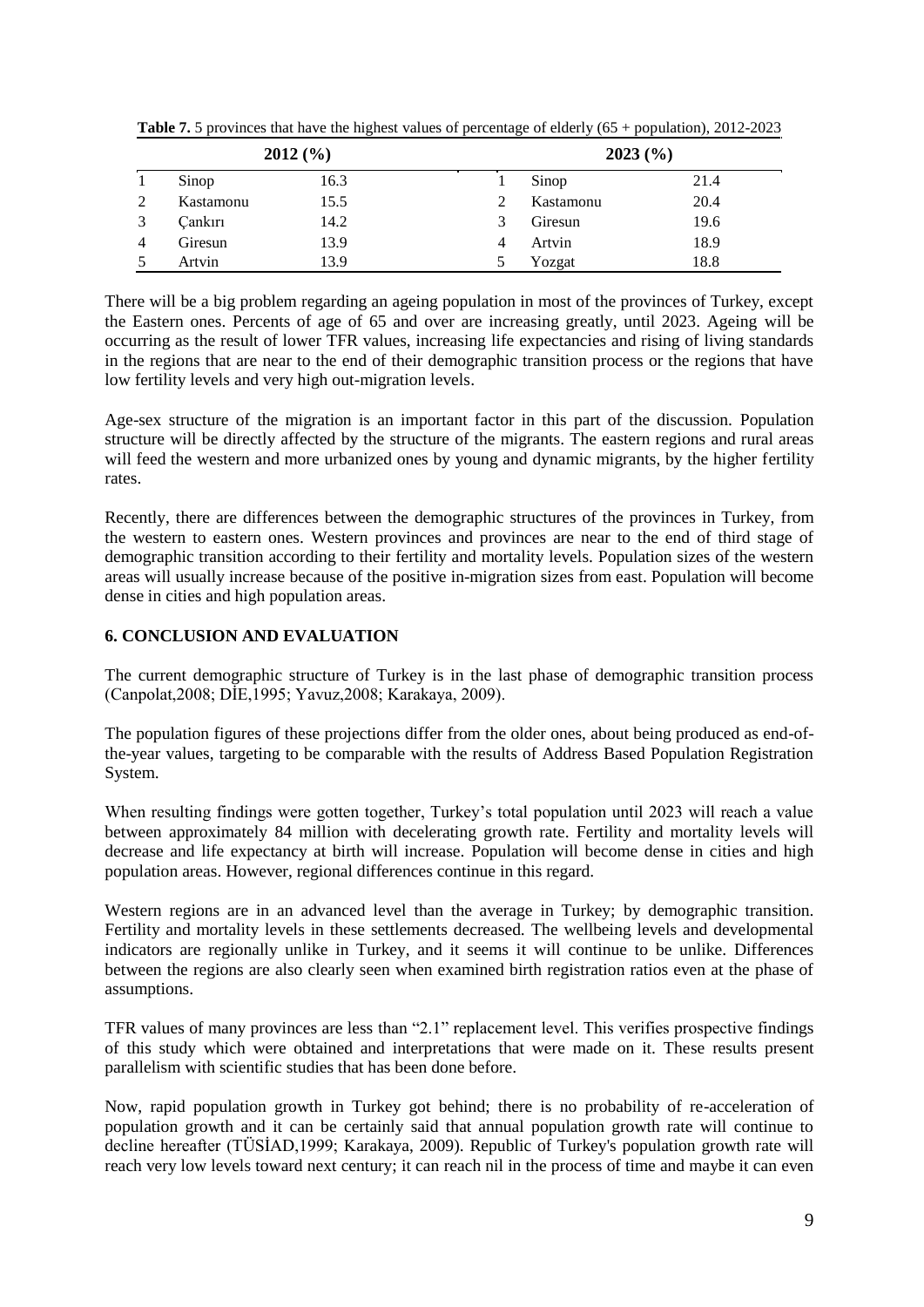| 2012(%) |           |      |   | 2023(%)   |      |  |
|---------|-----------|------|---|-----------|------|--|
|         | Sinop     | 16.3 |   | Sinop     | 21.4 |  |
|         | Kastamonu | 15.5 |   | Kastamonu | 20.4 |  |
|         | Cankırı   | 14.2 | 3 | Giresun   | 19.6 |  |
| 4       | Giresun   | 13.9 | 4 | Artvin    | 18.9 |  |
|         | Artvin    | 13.9 |   | Yozgat    | 18.8 |  |

**Table 7.** 5 provinces that have the highest values of percentage of elderly (65 + population), 2012-2023

There will be a big problem regarding an ageing population in most of the provinces of Turkey, except the Eastern ones. Percents of age of 65 and over are increasing greatly, until 2023. Ageing will be occurring as the result of lower TFR values, increasing life expectancies and rising of living standards in the regions that are near to the end of their demographic transition process or the regions that have low fertility levels and very high out-migration levels.

Age-sex structure of the migration is an important factor in this part of the discussion. Population structure will be directly affected by the structure of the migrants. The eastern regions and rural areas will feed the western and more urbanized ones by young and dynamic migrants, by the higher fertility rates.

Recently, there are differences between the demographic structures of the provinces in Turkey, from the western to eastern ones. Western provinces and provinces are near to the end of third stage of demographic transition according to their fertility and mortality levels. Population sizes of the western areas will usually increase because of the positive in-migration sizes from east. Population will become dense in cities and high population areas.

## **6. CONCLUSION AND EVALUATION**

The current demographic structure of Turkey is in the last phase of demographic transition process (Canpolat,2008; DİE,1995; Yavuz,2008; Karakaya, 2009).

The population figures of these projections differ from the older ones, about being produced as end-ofthe-year values, targeting to be comparable with the results of Address Based Population Registration System.

When resulting findings were gotten together, Turkey's total population until 2023 will reach a value between approximately 84 million with decelerating growth rate. Fertility and mortality levels will decrease and life expectancy at birth will increase. Population will become dense in cities and high population areas. However, regional differences continue in this regard.

Western regions are in an advanced level than the average in Turkey; by demographic transition. Fertility and mortality levels in these settlements decreased. The wellbeing levels and developmental indicators are regionally unlike in Turkey, and it seems it will continue to be unlike. Differences between the regions are also clearly seen when examined birth registration ratios even at the phase of assumptions.

TFR values of many provinces are less than "2.1" replacement level. This verifies prospective findings of this study which were obtained and interpretations that were made on it. These results present parallelism with scientific studies that has been done before.

Now, rapid population growth in Turkey got behind; there is no probability of re-acceleration of population growth and it can be certainly said that annual population growth rate will continue to decline hereafter (TÜSİAD,1999; Karakaya, 2009). Republic of Turkey's population growth rate will reach very low levels toward next century; it can reach nil in the process of time and maybe it can even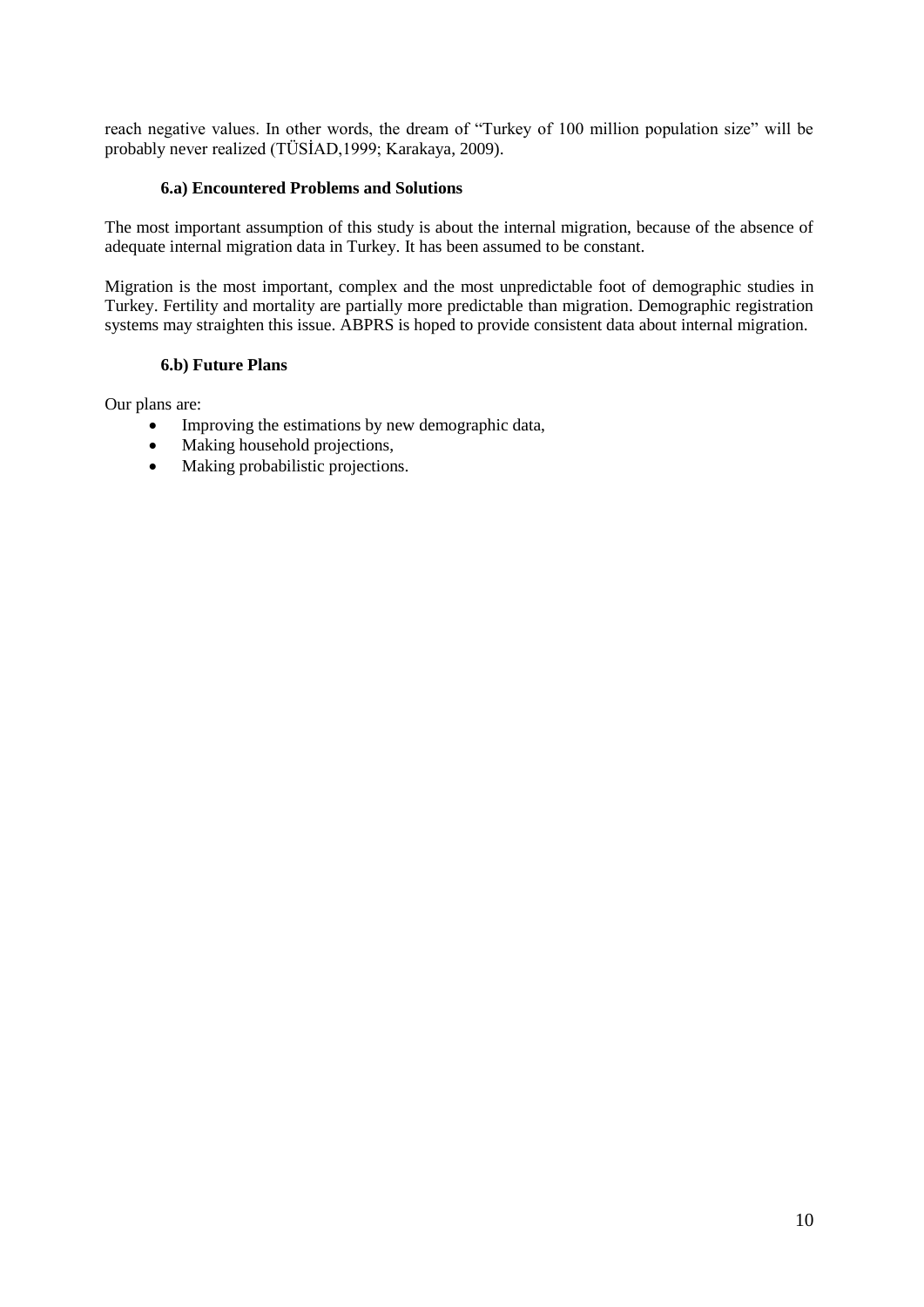reach negative values. In other words, the dream of "Turkey of 100 million population size" will be probably never realized (TÜSİAD,1999; Karakaya, 2009).

#### **6.a) Encountered Problems and Solutions**

The most important assumption of this study is about the internal migration, because of the absence of adequate internal migration data in Turkey. It has been assumed to be constant.

Migration is the most important, complex and the most unpredictable foot of demographic studies in Turkey. Fertility and mortality are partially more predictable than migration. Demographic registration systems may straighten this issue. ABPRS is hoped to provide consistent data about internal migration.

#### **6.b) Future Plans**

Our plans are:

- Improving the estimations by new demographic data,
- Making household projections,
- Making probabilistic projections.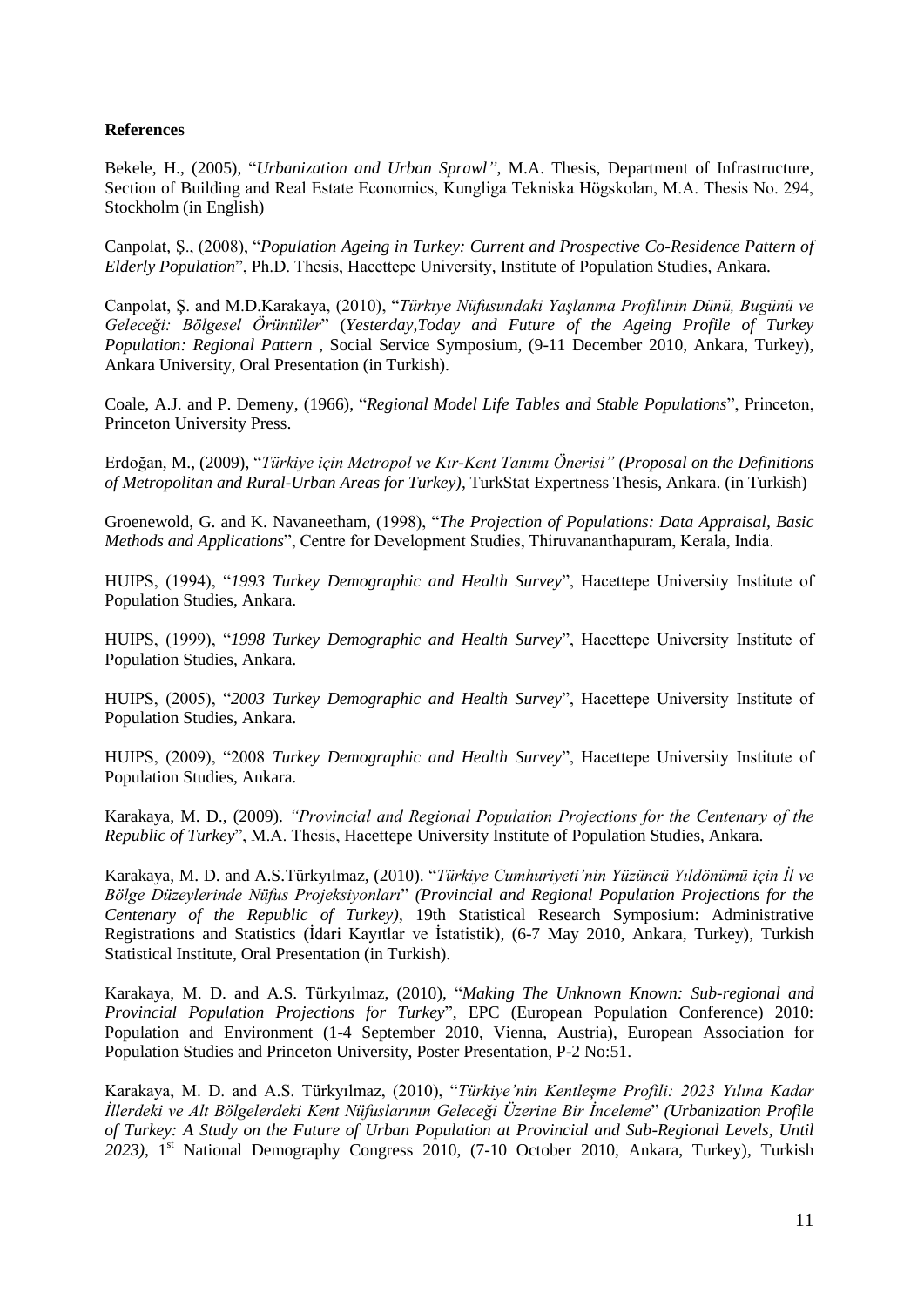#### **References**

Bekele, H., (2005), "*Urbanization and Urban Sprawl"*, M.A. Thesis, Department of Infrastructure, Section of Building and Real Estate Economics, Kungliga Tekniska Högskolan, M.A. Thesis No. 294, Stockholm (in English)

Canpolat, Ş., (2008), "*Population Ageing in Turkey: Current and Prospective Co-Residence Pattern of Elderly Population*", Ph.D. Thesis, Hacettepe University, Institute of Population Studies, Ankara.

Canpolat, Ş. and M.D.Karakaya, (2010), "*Türkiye Nüfusundaki Yaşlanma Profilinin Dünü, Bugünü ve Geleceği: Bölgesel Örüntüler*" (*Yesterday,Today and Future of the Ageing Profile of Turkey Population: Regional Pattern ,* Social Service Symposium, (9-11 December 2010, Ankara, Turkey), Ankara University, Oral Presentation (in Turkish).

Coale, A.J. and P. Demeny, (1966), "*Regional Model Life Tables and Stable Populations*", Princeton, Princeton University Press.

Erdoğan, M., (2009), "*Türkiye için Metropol ve Kır-Kent Tanımı Önerisi" (Proposal on the Definitions of Metropolitan and Rural-Urban Areas for Turkey)*, TurkStat Expertness Thesis, Ankara. (in Turkish)

Groenewold, G. and K. Navaneetham, (1998), "*The Projection of Populations: Data Appraisal, Basic Methods and Applications*", Centre for Development Studies, Thiruvananthapuram, Kerala, India.

HUIPS, (1994), "*1993 Turkey Demographic and Health Survey*", Hacettepe University Institute of Population Studies, Ankara.

HUIPS, (1999), "*1998 Turkey Demographic and Health Survey*", Hacettepe University Institute of Population Studies, Ankara.

HUIPS, (2005), "*2003 Turkey Demographic and Health Survey*", Hacettepe University Institute of Population Studies, Ankara.

HUIPS, (2009), "2008 *Turkey Demographic and Health Survey*", Hacettepe University Institute of Population Studies, Ankara.

Karakaya, M. D., (2009). *"Provincial and Regional Population Projections for the Centenary of the Republic of Turkey*", M.A. Thesis, Hacettepe University Institute of Population Studies, Ankara.

Karakaya, M. D. and A.S.Türkyılmaz, (2010). "*Türkiye Cumhuriyeti'nin Yüzüncü Yıldönümü için İl ve Bölge Düzeylerinde Nüfus Projeksiyonları*" *(Provincial and Regional Population Projections for the Centenary of the Republic of Turkey)*, 19th Statistical Research Symposium: Administrative Registrations and Statistics (İdari Kayıtlar ve İstatistik), (6-7 May 2010, Ankara, Turkey), Turkish Statistical Institute, Oral Presentation (in Turkish).

Karakaya, M. D. and A.S. Türkyılmaz, (2010), "*Making The Unknown Known: Sub-regional and Provincial Population Projections for Turkey*", EPC (European Population Conference) 2010: Population and Environment (1-4 September 2010, Vienna, Austria), European Association for Population Studies and Princeton University, Poster Presentation, P-2 No:51.

Karakaya, M. D. and A.S. Türkyılmaz, (2010), "*Türkiye'nin Kentleşme Profili: 2023 Yılına Kadar İllerdeki ve Alt Bölgelerdeki Kent Nüfuslarının Geleceği Üzerine Bir İnceleme*" *(Urbanization Profile of Turkey: A Study on the Future of Urban Population at Provincial and Sub-Regional Levels, Until*  2023), 1<sup>st</sup> National Demography Congress 2010, (7-10 October 2010, Ankara, Turkey), Turkish